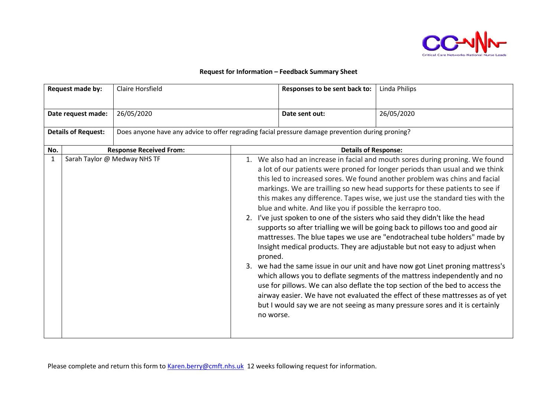

## **Request for Information – Feedback Summary Sheet**

| Request made by:           |  | <b>Claire Horsfield</b>                                                                          |                      | Responses to be sent back to:                              | Linda Philips                                                                                                                                                                                                                                                                                                                                                                                                                                                                                                                                                                                                                                                                                                                                                                                                                                                                                                                                                                                                                                                                                                                                            |  |
|----------------------------|--|--------------------------------------------------------------------------------------------------|----------------------|------------------------------------------------------------|----------------------------------------------------------------------------------------------------------------------------------------------------------------------------------------------------------------------------------------------------------------------------------------------------------------------------------------------------------------------------------------------------------------------------------------------------------------------------------------------------------------------------------------------------------------------------------------------------------------------------------------------------------------------------------------------------------------------------------------------------------------------------------------------------------------------------------------------------------------------------------------------------------------------------------------------------------------------------------------------------------------------------------------------------------------------------------------------------------------------------------------------------------|--|
| Date request made:         |  | 26/05/2020                                                                                       |                      | Date sent out:                                             | 26/05/2020                                                                                                                                                                                                                                                                                                                                                                                                                                                                                                                                                                                                                                                                                                                                                                                                                                                                                                                                                                                                                                                                                                                                               |  |
| <b>Details of Request:</b> |  | Does anyone have any advice to offer regrading facial pressure damage prevention during proning? |                      |                                                            |                                                                                                                                                                                                                                                                                                                                                                                                                                                                                                                                                                                                                                                                                                                                                                                                                                                                                                                                                                                                                                                                                                                                                          |  |
| No.                        |  | <b>Response Received From:</b>                                                                   |                      | <b>Details of Response:</b>                                |                                                                                                                                                                                                                                                                                                                                                                                                                                                                                                                                                                                                                                                                                                                                                                                                                                                                                                                                                                                                                                                                                                                                                          |  |
| 1                          |  | Sarah Taylor @ Medway NHS TF                                                                     | proned.<br>no worse. | blue and white. And like you if possible the kerrapro too. | 1. We also had an increase in facial and mouth sores during proning. We found<br>a lot of our patients were proned for longer periods than usual and we think<br>this led to increased sores. We found another problem was chins and facial<br>markings. We are trailling so new head supports for these patients to see if<br>this makes any difference. Tapes wise, we just use the standard ties with the<br>2. I've just spoken to one of the sisters who said they didn't like the head<br>supports so after trialling we will be going back to pillows too and good air<br>mattresses. The blue tapes we use are "endotracheal tube holders" made by<br>Insight medical products. They are adjustable but not easy to adjust when<br>3. we had the same issue in our unit and have now got Linet proning mattress's<br>which allows you to deflate segments of the mattress independently and no<br>use for pillows. We can also deflate the top section of the bed to access the<br>airway easier. We have not evaluated the effect of these mattresses as of yet<br>but I would say we are not seeing as many pressure sores and it is certainly |  |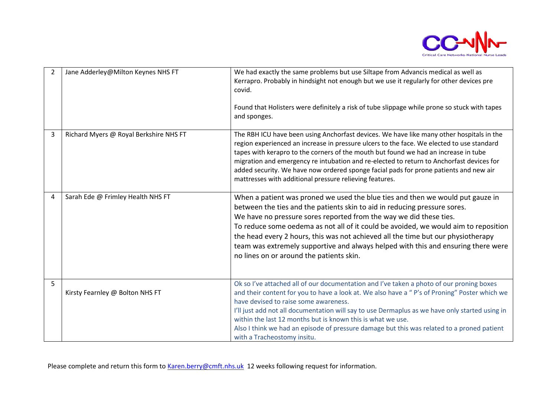

| $\overline{2}$ | Jane Adderley@Milton Keynes NHS FT     | We had exactly the same problems but use Siltape from Advancis medical as well as<br>Kerrapro. Probably in hindsight not enough but we use it regularly for other devices pre<br>covid.<br>Found that Holisters were definitely a risk of tube slippage while prone so stuck with tapes<br>and sponges.                                                                                                                                                                                                                                       |
|----------------|----------------------------------------|-----------------------------------------------------------------------------------------------------------------------------------------------------------------------------------------------------------------------------------------------------------------------------------------------------------------------------------------------------------------------------------------------------------------------------------------------------------------------------------------------------------------------------------------------|
| 3              | Richard Myers @ Royal Berkshire NHS FT | The RBH ICU have been using Anchorfast devices. We have like many other hospitals in the<br>region experienced an increase in pressure ulcers to the face. We elected to use standard<br>tapes with kerapro to the corners of the mouth but found we had an increase in tube<br>migration and emergency re intubation and re-elected to return to Anchorfast devices for<br>added security. We have now ordered sponge facial pads for prone patients and new air<br>mattresses with additional pressure relieving features.                  |
| $\overline{4}$ | Sarah Ede @ Frimley Health NHS FT      | When a patient was proned we used the blue ties and then we would put gauze in<br>between the ties and the patients skin to aid in reducing pressure sores.<br>We have no pressure sores reported from the way we did these ties.<br>To reduce some oedema as not all of it could be avoided, we would aim to reposition<br>the head every 2 hours, this was not achieved all the time but our physiotherapy<br>team was extremely supportive and always helped with this and ensuring there were<br>no lines on or around the patients skin. |
| 5              | Kirsty Fearnley @ Bolton NHS FT        | Ok so I've attached all of our documentation and I've taken a photo of our proning boxes<br>and their content for you to have a look at. We also have a "P's of Proning" Poster which we<br>have devised to raise some awareness.<br>I'll just add not all documentation will say to use Dermaplus as we have only started using in<br>within the last 12 months but is known this is what we use.<br>Also I think we had an episode of pressure damage but this was related to a proned patient<br>with a Tracheostomy insitu.               |

Please complete and return this form to [Karen.berry@cmft.nhs.uk](mailto:Karen.berry@cmft.nhs.uk) 12 weeks following request for information.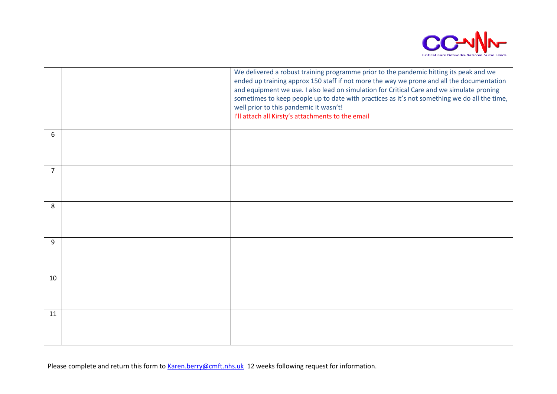

|                | We delivered a robust training programme prior to the pandemic hitting its peak and we<br>ended up training approx 150 staff if not more the way we prone and all the documentation<br>and equipment we use. I also lead on simulation for Critical Care and we simulate proning<br>sometimes to keep people up to date with practices as it's not something we do all the time,<br>well prior to this pandemic it wasn't!<br>I'll attach all Kirsty's attachments to the email |
|----------------|---------------------------------------------------------------------------------------------------------------------------------------------------------------------------------------------------------------------------------------------------------------------------------------------------------------------------------------------------------------------------------------------------------------------------------------------------------------------------------|
| 6              |                                                                                                                                                                                                                                                                                                                                                                                                                                                                                 |
| $\overline{7}$ |                                                                                                                                                                                                                                                                                                                                                                                                                                                                                 |
| 8              |                                                                                                                                                                                                                                                                                                                                                                                                                                                                                 |
| 9              |                                                                                                                                                                                                                                                                                                                                                                                                                                                                                 |
| 10             |                                                                                                                                                                                                                                                                                                                                                                                                                                                                                 |
| 11             |                                                                                                                                                                                                                                                                                                                                                                                                                                                                                 |

Please complete and return this form to [Karen.berry@cmft.nhs.uk](mailto:Karen.berry@cmft.nhs.uk) 12 weeks following request for information.